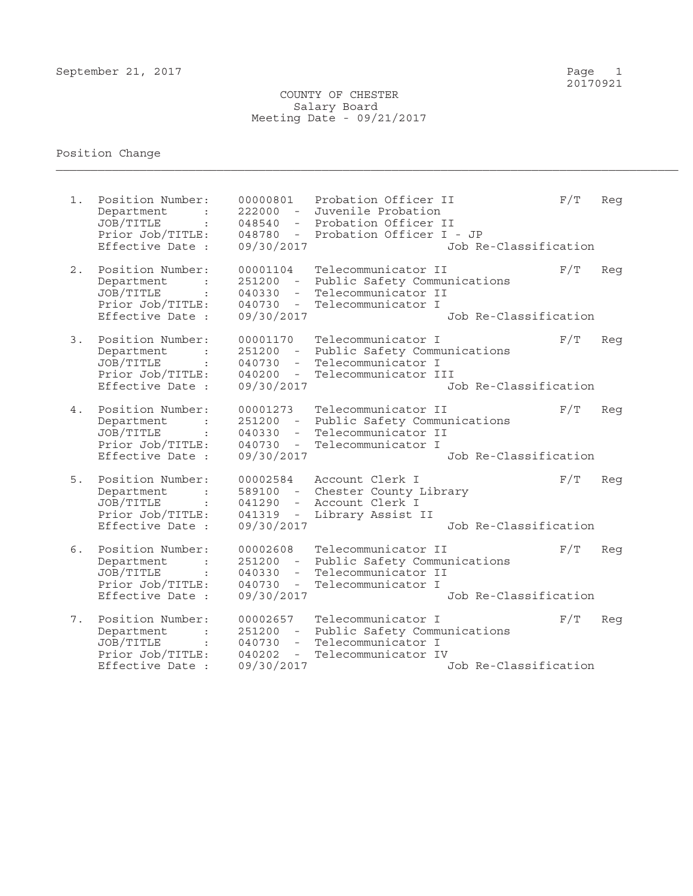20170921

## COUNTY OF CHESTER Salary Board Meeting Date - 09/21/2017

## Position Change  $\mathcal{L}_\mathcal{L} = \mathcal{L}_\mathcal{L} = \mathcal{L}_\mathcal{L} = \mathcal{L}_\mathcal{L} = \mathcal{L}_\mathcal{L} = \mathcal{L}_\mathcal{L} = \mathcal{L}_\mathcal{L} = \mathcal{L}_\mathcal{L} = \mathcal{L}_\mathcal{L} = \mathcal{L}_\mathcal{L} = \mathcal{L}_\mathcal{L} = \mathcal{L}_\mathcal{L} = \mathcal{L}_\mathcal{L} = \mathcal{L}_\mathcal{L} = \mathcal{L}_\mathcal{L} = \mathcal{L}_\mathcal{L} = \mathcal{L}_\mathcal{L}$

1. Position Number: 00000801 Probation Officer II F/T Reg Department : 222000 - Juvenile Probation JOB/TITLE : 048540 - Probation Officer II Prior Job/TITLE: 048780 - Probation Officer I - JP Effective Date : 09/30/2017 Job Re-Classification 2. Position Number: 00001104 Telecommunicator II F/T Reg Department : 251200 - Public Safety Communications JOB/TITLE : 040330 - Telecommunicator II Prior Job/TITLE: 040730 - Telecommunicator I Effective Date : 09/30/2017 Job Re-Classification 3. Position Number: 00001170 Telecommunicator I F/T Reg Department : 251200 - Public Safety Communications JOB/TITLE : 040730 - Telecommunicator I Prior Job/TITLE: 040200 - Telecommunicator III Effective Date : 09/30/2017 Job Re-Classification 4. Position Number: 00001273 Telecommunicator II F/T Reg Department : 251200 - Public Safety Communications JOB/TITLE : 040330 - Telecommunicator II Prior Job/TITLE: 040730 - Telecommunicator I Effective Date : 09/30/2017 Job Re-Classification 5. Position Number: 00002584 Account Clerk I F/T Reg Department : 589100 - Chester County Library JOB/TITLE : 041290 - Account Clerk I Prior Job/TITLE: 041319 - Library Assist II Effective Date : 09/30/2017 Job Re-Classification 6. Position Number: 00002608 Telecommunicator II F/T Reg Department : 251200 - Public Safety Communications JOB/TITLE : 040330 - Telecommunicator II Prior Job/TITLE: 040730 - Telecommunicator I Effective Date : 09/30/2017 Job Re-Classification 7. Position Number: 00002657 Telecommunicator I F/T Reg<br>Department : 251200 - Public Safety Communications 251200 - Public Safety Communications JOB/TITLE : 040730 - Telecommunicator I Prior Job/TITLE: 040202 - Telecommunicator IV Effective Date : 09/30/2017 Job Re-Classification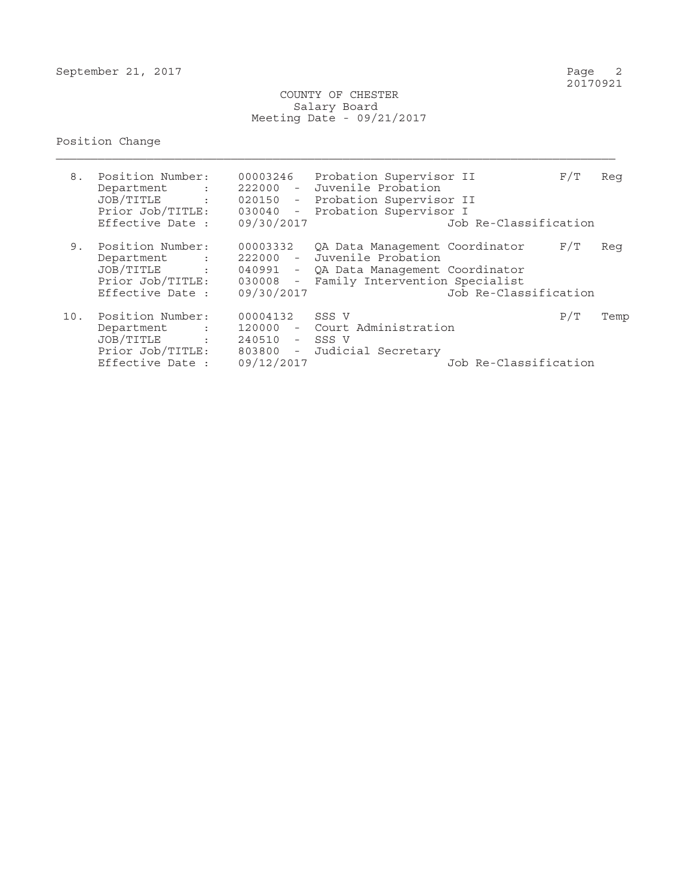COUNTY OF CHESTER Salary Board Meeting Date - 09/21/2017

## Position Change

| 8.  | Position Number:<br>Department<br><b>Contract Contract</b><br>JOB/TITLE<br>$\sim 10^{11}$ and $\sim 10^{11}$<br>Prior Job/TITLE:<br>Effective Date : | 00003246<br>09/30/2017                                         | Probation Supervisor II<br>222000 - Juvenile Probation<br>020150 - Probation Supervisor II<br>030040 - Probation Supervisor I                       | Job Re-Classification | F/T | Reg  |
|-----|------------------------------------------------------------------------------------------------------------------------------------------------------|----------------------------------------------------------------|-----------------------------------------------------------------------------------------------------------------------------------------------------|-----------------------|-----|------|
| 9.  | Position Number:<br>Department<br><b>Contractor</b><br>JOB/TITLE<br><b>Contract Contract</b><br>Prior Job/TITLE:<br>Effective Date :                 | 00003332<br>09/30/2017                                         | QA Data Management Coordinator<br>222000 - Juvenile Probation<br>040991 - QA Data Management Coordinator<br>030008 - Family Intervention Specialist | Job Re-Classification | F/T | Req  |
| 10. | Position Number:<br>Department<br>JOB/TITLE<br><b>Contract Contract Contract</b><br>Prior Job/TITLE:<br>Effective Date :                             | 00004132<br>120000<br>240510 - SSS V<br>803800 -<br>09/12/2017 | SSS V<br>- Court Administration<br>Judicial Secretary                                                                                               | Job Re-Classification | P/T | Temp |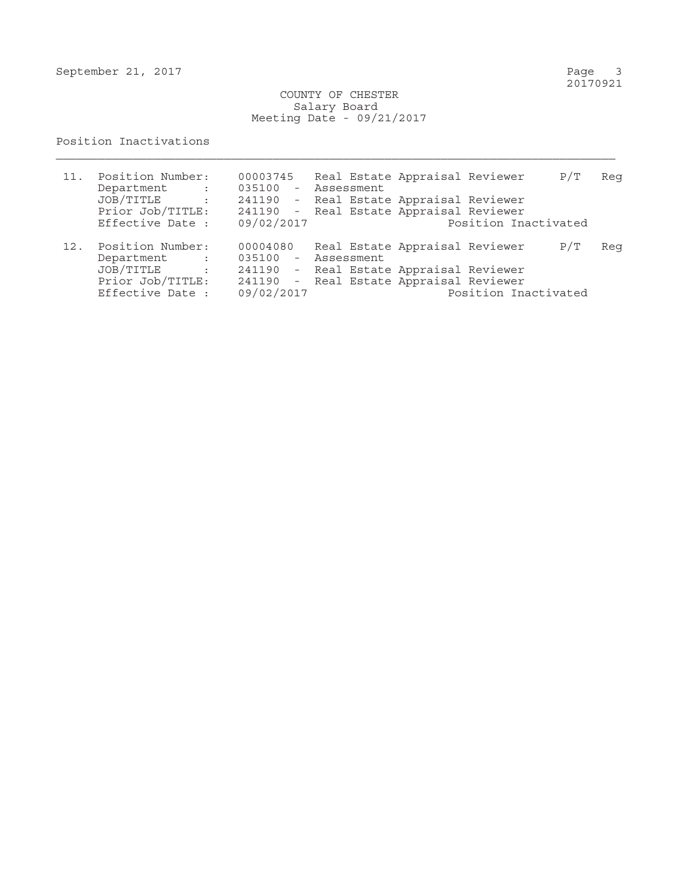September 21, 2017

Page 3<br>20170921

 COUNTY OF CHESTER Salary Board Meeting Date - 09/21/2017

## Position Inactivations

| 11. | Position Number:<br>Department<br>$\sim 10^{11}$ km $^{-1}$                                                             | 00003745   | Real Estate Appraisal Reviewer<br>P/T<br>035100 - Assessment                                               | Reg |
|-----|-------------------------------------------------------------------------------------------------------------------------|------------|------------------------------------------------------------------------------------------------------------|-----|
|     | JOB/TITLE<br>$\sim$ $\sim$ $\sim$ $\sim$<br>Prior Job/TITLE:                                                            |            | 241190 - Real Estate Appraisal Reviewer<br>241190 - Real Estate Appraisal Reviewer                         |     |
|     | Effective Date :                                                                                                        | 09/02/2017 | Position Inactivated                                                                                       |     |
| 12. | Position Number:<br>Department<br>$\mathcal{L}^{\text{max}}_{\text{max}}$ . The $\mathcal{L}^{\text{max}}_{\text{max}}$ | 00004080   | Real Estate Appraisal Reviewer<br>P/T<br>035100 - Assessment                                               | Reg |
|     | JOB/TITLE<br>$\sim$ 1.<br>Prior Job/TITLE:<br>Effective Date :                                                          | 09/02/2017 | 241190 - Real Estate Appraisal Reviewer<br>241190 - Real Estate Appraisal Reviewer<br>Position Inactivated |     |